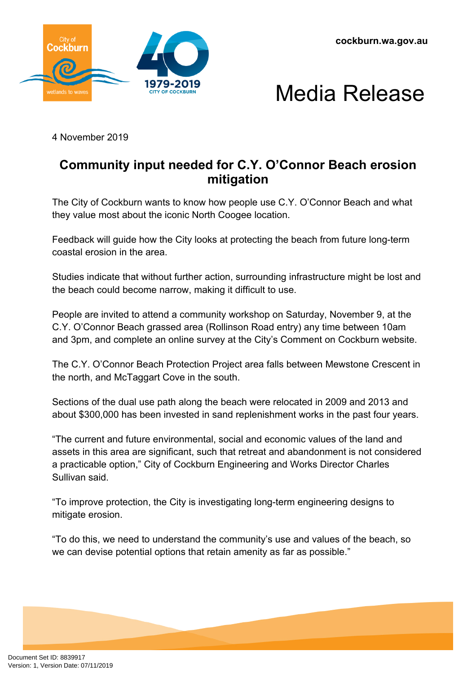**cockburn.wa.gov.au**





4 November 2019

## **Community input needed for C.Y. O'Connor Beach erosion mitigation**

The City of Cockburn wants to know how people use C.Y. O'Connor Beach and what they value most about the iconic North Coogee location.

Feedback will guide how the City looks at protecting the beach from future long-term coastal erosion in the area.

Studies indicate that without further action, surrounding infrastructure might be lost and the beach could become narrow, making it difficult to use.

People are invited to attend a community workshop on Saturday, November 9, at the C.Y. O'Connor Beach grassed area (Rollinson Road entry) any time between 10am and 3pm, and complete an online survey at the City's Comment on Cockburn website.

The C.Y. O'Connor Beach Protection Project area falls between Mewstone Crescent in the north, and McTaggart Cove in the south.

Sections of the dual use path along the beach were relocated in 2009 and 2013 and about \$300,000 has been invested in sand replenishment works in the past four years.

"The current and future environmental, social and economic values of the land and assets in this area are significant, such that retreat and abandonment is not considered a practicable option," City of Cockburn Engineering and Works Director Charles Sullivan said.

"To improve protection, the City is investigating long-term engineering designs to mitigate erosion.

"To do this, we need to understand the community's use and values of the beach, so we can devise potential options that retain amenity as far as possible."